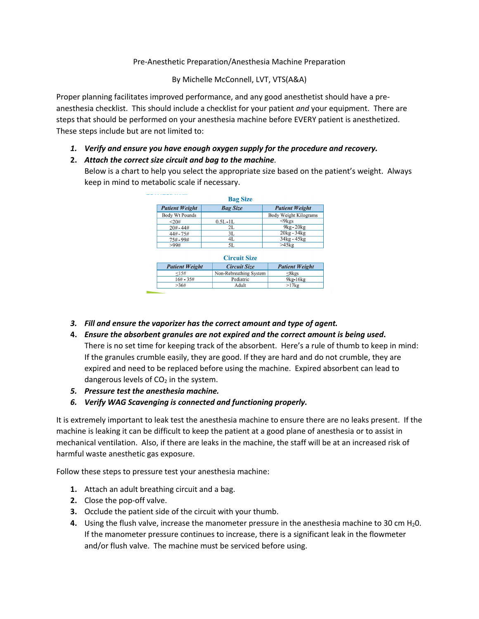# Pre-Anesthetic Preparation/Anesthesia Machine Preparation

By Michelle McConnell, LVT, VTS(A&A)

Proper planning facilitates improved performance, and any good anesthetist should have a preanesthesia checklist. This should include a checklist for your patient *and* your equipment. There are steps that should be performed on your anesthesia machine before EVERY patient is anesthetized. These steps include but are not limited to:

- *1. Verify and ensure you have enough oxygen supply for the procedure and recovery.*
- **2.** *Attach the correct size circuit and bag to the machine.*

Below is a chart to help you select the appropriate size based on the patient's weight. Always keep in mind to metabolic scale if necessary.

| <b>Bag Size</b>       |                                            |                        |
|-----------------------|--------------------------------------------|------------------------|
| <b>Patient Weight</b> | <b>Bag Size</b>                            | <b>Patient Weight</b>  |
| <b>Body Wt Pounds</b> |                                            | Body Weight Kilograms  |
| < 20#                 | $0.5L - 1L$                                | $\langle 9 \text{kgs}$ |
| $20# - 44#$           | 2L                                         | $9kg-20kg$             |
| $44# - 75#$           | 3L                                         | $20kg - 34kg$          |
| $75\# - 99\#$         | 4L                                         | $34kg - 45kg$          |
| >99#                  | 5L                                         | $>45$ <sub>kg</sub>    |
| <b>Patient Weight</b> | <b>Circuit Size</b><br><b>Circuit Size</b> | <b>Patient Weight</b>  |
| <15#                  |                                            |                        |
|                       | Non-Rebreathing System                     | $<8$ kgs               |
|                       |                                            |                        |
| $16# - 35#$           | Pediatric                                  | $9kg-16kg$             |

- *3. Fill and ensure the vaporizer has the correct amount and type of agent.*
- **4.** *Ensure the absorbent granules are not expired and the correct amount is being used***.** There is no set time for keeping track of the absorbent. Here's a rule of thumb to keep in mind: If the granules crumble easily, they are good. If they are hard and do not crumble, they are expired and need to be replaced before using the machine. Expired absorbent can lead to dangerous levels of  $CO<sub>2</sub>$  in the system.
- *5. Pressure test the anesthesia machine.*
- *6. Verify WAG Scavenging is connected and functioning properly.*

It is extremely important to leak test the anesthesia machine to ensure there are no leaks present. If the machine is leaking it can be difficult to keep the patient at a good plane of anesthesia or to assist in mechanical ventilation. Also, if there are leaks in the machine, the staff will be at an increased risk of harmful waste anesthetic gas exposure.

Follow these steps to pressure test your anesthesia machine:

- **1.** Attach an adult breathing circuit and a bag.
- **2.** Close the pop-off valve.
- **3.** Occlude the patient side of the circuit with your thumb.
- **4.** Using the flush valve, increase the manometer pressure in the anesthesia machine to 30 cm H<sub>2</sub>0. If the manometer pressure continues to increase, there is a significant leak in the flowmeter and/or flush valve. The machine must be serviced before using.